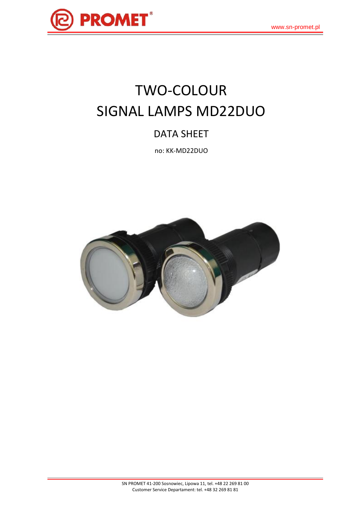

# TWO-COLOUR SIGNAL LAMPS MD22DUO

## DATA SHEET

no: KK-MD22DUO

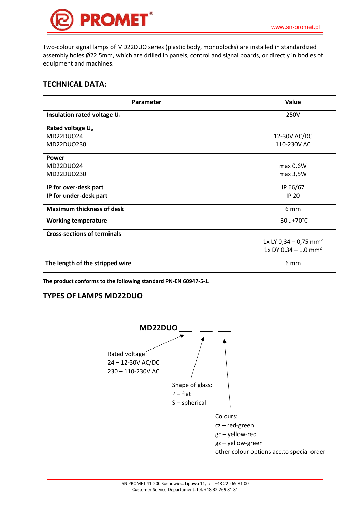Two-colour signal lamps of MD22DUO series (plastic body, monoblocks) are installed in standardized assembly holes Ø22.5mm, which are drilled in panels, control and signal boards, or directly in bodies of equipment and machines.

#### **TECHNICAL DATA:**

| Parameter                               | Value                             |
|-----------------------------------------|-----------------------------------|
| Insulation rated voltage U <sub>i</sub> | 250V                              |
| Rated voltage U <sub>e</sub>            |                                   |
| MD22DU024                               | 12-30V AC/DC                      |
| MD22DU0230                              | 110-230V AC                       |
| Power                                   |                                   |
| MD22DU024                               | max 0,6W                          |
| MD22DU0230                              | max 3,5W                          |
| IP for over-desk part                   | IP 66/67                          |
| IP for under-desk part                  | <b>IP 20</b>                      |
| <b>Maximum thickness of desk</b>        | 6 mm                              |
| <b>Working temperature</b>              | $-30+70^{\circ}C$                 |
| <b>Cross-sections of terminals</b>      |                                   |
|                                         | 1x LY 0,34 - 0,75 mm <sup>2</sup> |
|                                         | 1x DY 0,34 - 1,0 mm <sup>2</sup>  |
| The length of the stripped wire         | 6 mm                              |

**The product conforms to the following standard PN-EN 60947-5-1.**

#### **TYPES OF LAMPS MD22DUO**